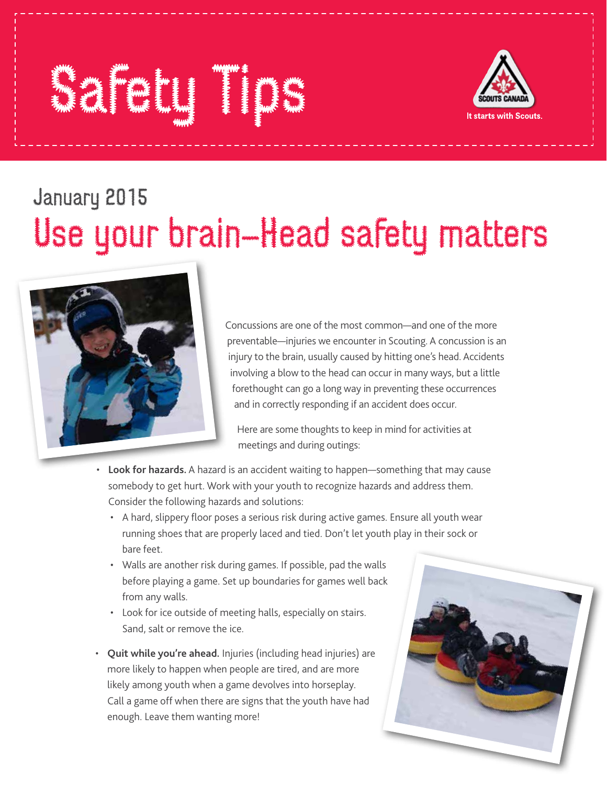## Safety Tips



## January 2015 Use your brain–Head safety matters



Concussions are one of the most common—and one of the more preventable—injuries we encounter in Scouting. A concussion is an injury to the brain, usually caused by hitting one's head. Accidents involving a blow to the head can occur in many ways, but a little forethought can go a long way in preventing these occurrences and in correctly responding if an accident does occur.

Here are some thoughts to keep in mind for activities at meetings and during outings:

- **Look for hazards.** A hazard is an accident waiting to happen—something that may cause somebody to get hurt. Work with your youth to recognize hazards and address them. Consider the following hazards and solutions:
- A hard, slippery floor poses a serious risk during active games. Ensure all youth wear running shoes that are properly laced and tied. Don't let youth play in their sock or bare feet.
- Walls are another risk during games. If possible, pad the walls before playing a game. Set up boundaries for games well back from any walls.
- Look for ice outside of meeting halls, especially on stairs. Sand, salt or remove the ice.
- **Quit while you're ahead.** Injuries (including head injuries) are more likely to happen when people are tired, and are more likely among youth when a game devolves into horseplay. Call a game off when there are signs that the youth have had enough. Leave them wanting more!